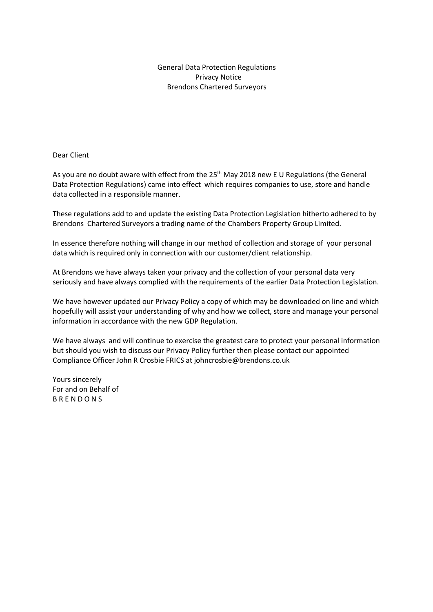General Data Protection Regulations Privacy Notice Brendons Chartered Surveyors

Dear Client

As you are no doubt aware with effect from the 25<sup>th</sup> May 2018 new E U Regulations (the General Data Protection Regulations) came into effect which requires companies to use, store and handle data collected in a responsible manner.

These regulations add to and update the existing Data Protection Legislation hitherto adhered to by Brendons Chartered Surveyors a trading name of the Chambers Property Group Limited.

In essence therefore nothing will change in our method of collection and storage of your personal data which is required only in connection with our customer/client relationship.

At Brendons we have always taken your privacy and the collection of your personal data very seriously and have always complied with the requirements of the earlier Data Protection Legislation.

We have however updated our Privacy Policy a copy of which may be downloaded on line and which hopefully will assist your understanding of why and how we collect, store and manage your personal information in accordance with the new GDP Regulation.

We have always and will continue to exercise the greatest care to protect your personal information but should you wish to discuss our Privacy Policy further then please contact our appointed Compliance Officer John R Crosbie FRICS at johncrosbie@brendons.co.uk

Yours sincerely For and on Behalf of B R E N D O N S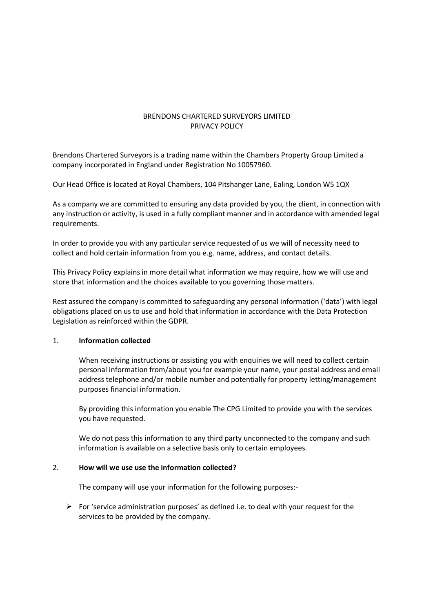# BRENDONS CHARTERED SURVEYORS LIMITED PRIVACY POLICY

Brendons Chartered Surveyors is a trading name within the Chambers Property Group Limited a company incorporated in England under Registration No 10057960.

Our Head Office is located at Royal Chambers, 104 Pitshanger Lane, Ealing, London W5 1QX

As a company we are committed to ensuring any data provided by you, the client, in connection with any instruction or activity, is used in a fully compliant manner and in accordance with amended legal requirements.

In order to provide you with any particular service requested of us we will of necessity need to collect and hold certain information from you e.g. name, address, and contact details.

This Privacy Policy explains in more detail what information we may require, how we will use and store that information and the choices available to you governing those matters.

Rest assured the company is committed to safeguarding any personal information ('data') with legal obligations placed on us to use and hold that information in accordance with the Data Protection Legislation as reinforced within the GDPR.

## 1. **Information collected**

When receiving instructions or assisting you with enquiries we will need to collect certain personal information from/about you for example your name, your postal address and email address telephone and/or mobile number and potentially for property letting/management purposes financial information.

By providing this information you enable The CPG Limited to provide you with the services you have requested.

We do not pass this information to any third party unconnected to the company and such information is available on a selective basis only to certain employees.

## 2. **How will we use use the information collected?**

The company will use your information for the following purposes:-

 $\triangleright$  For 'service administration purposes' as defined i.e. to deal with your request for the services to be provided by the company.